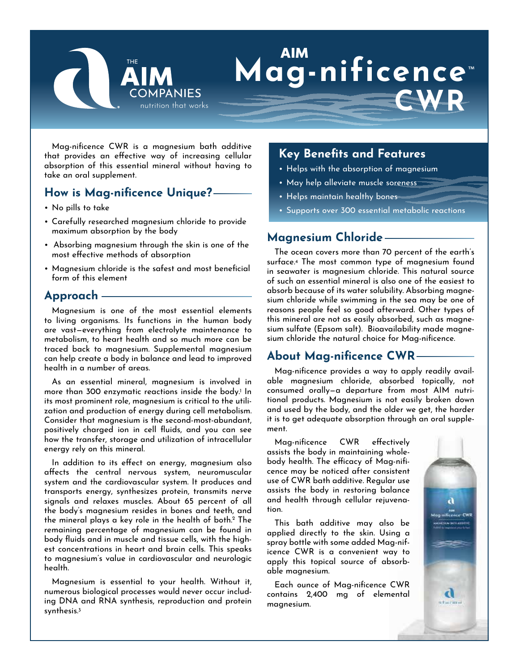

# **Mag-nificence** ™ **CWR**

Mag-nificence CWR is a magnesium bath additive that provides an effective way of increasing cellular absorption of this essential mineral without having to take an oral supplement.

# **How is Mag-nificence Unique?**

- No pills to take
- Carefully researched magnesium chloride to provide maximum absorption by the body
- Absorbing magnesium through the skin is one of the most effective methods of absorption
- Magnesium chloride is the safest and most beneficial form of this element

## **Approach**

Magnesium is one of the most essential elements to living organisms. Its functions in the human body are vast—everything from electrolyte maintenance to metabolism, to heart health and so much more can be traced back to magnesium. Supplemental magnesium can help create a body in balance and lead to improved health in a number of areas.

As an essential mineral, magnesium is involved in more than 300 enzymatic reactions inside the body.<sup>1</sup> In its most prominent role, magnesium is critical to the utilization and production of energy during cell metabolism. Consider that magnesium is the second-most-abundant, positively charged ion in cell fluids, and you can see how the transfer, storage and utilization of intracellular energy rely on this mineral.

In addition to its effect on energy, magnesium also affects the central nervous system, neuromuscular system and the cardiovascular system. It produces and transports energy, synthesizes protein, transmits nerve signals and relaxes muscles. About 65 percent of all the body's magnesium resides in bones and teeth, and the mineral plays a key role in the health of both.<sup>2</sup> The remaining percentage of magnesium can be found in body fluids and in muscle and tissue cells, with the highest concentrations in heart and brain cells. This speaks to magnesium's value in cardiovascular and neurologic health.

Magnesium is essential to your health. Without it, numerous biological processes would never occur including DNA and RNA synthesis, reproduction and protein synthesis.3

# **Key Benefits and Features**

- Helps with the absorption of magnesium
- May help alleviate muscle soreness
- Helps maintain healthy bones
- Supports over 300 essential metabolic reactions

## **Magnesium Chloride**

The ocean covers more than 70 percent of the earth's surface.4 The most common type of magnesium found in seawater is magnesium chloride. This natural source of such an essential mineral is also one of the easiest to absorb because of its water solubility. Absorbing magnesium chloride while swimming in the sea may be one of reasons people feel so good afterward. Other types of this mineral are not as easily absorbed, such as magnesium sulfate (Epsom salt). Bioavailability made magnesium chloride the natural choice for Mag-nificence.

## **About Mag-nificence CWR**

Mag-nificence provides a way to apply readily available magnesium chloride, absorbed topically, not consumed orally—a departure from most AIM nutritional products. Magnesium is not easily broken down and used by the body, and the older we get, the harder it is to get adequate absorption through an oral supplement.

Mag-nificence CWR effectively assists the body in maintaining wholebody health. The efficacy of Mag-nificence may be noticed after consistent use of CWR bath additive. Regular use assists the body in restoring balance and health through cellular rejuvenation.

This bath additive may also be applied directly to the skin. Using a spray bottle with some added Mag-nificence CWR is a convenient way to apply this topical source of absorbable magnesium.

Each ounce of Mag-nificence CWR contains 2,400 mg of elemental magnesium.